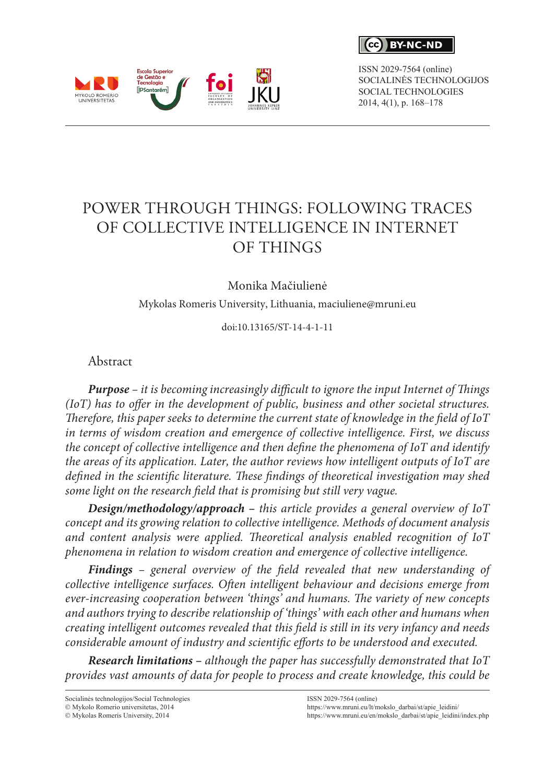$\epsilon$ c $\lambda$ **RY-NC-ND** 

ISSN 2029-7564 (online) SOCIALINĖS TECHNOLOGIJOS SOCIAL TECHNOLOGIES 2014, 4(1), p. 168–178



Monika Mačiulienė

Mykolas Romeris University, Lithuania, [maciuliene@mruni.eu](mailto:maciuliene@mruni.eu)

doi:10.13165/ST-14-4-1-11

Abstract

Escola Superior<br>de Gestão e<br>Tecnologia **lipsontorám** 

MYKOLO ROMERIO

*Purpose – it is becoming increasingly difficult to ignore the input Internet of Things (IoT) has to offer in the development of public, business and other societal structures. Therefore, this paper seeks to determine the current state of knowledge in the field of IoT in terms of wisdom creation and emergence of collective intelligence. First, we discuss the concept of collective intelligence and then define the phenomena of IoT and identify the areas of its application. Later, the author reviews how intelligent outputs of IoT are defined in the scientific literature. These findings of theoretical investigation may shed some light on the research field that is promising but still very vague.* 

*Design/methodology/approach* **–** *this article provides a general overview of IoT concept and its growing relation to collective intelligence. Methods of document analysis and content analysis were applied. Theoretical analysis enabled recognition of IoT phenomena in relation to wisdom creation and emergence of collective intelligence.* 

*Findings – general overview of the field revealed that new understanding of collective intelligence surfaces. Often intelligent behaviour and decisions emerge from ever-increasing cooperation between 'things' and humans. The variety of new concepts and authors trying to describe relationship of 'things' with each other and humans when creating intelligent outcomes revealed that this field is still in its very infancy and needs considerable amount of industry and scientific efforts to be understood and executed.* 

*Research limitations* **–** *although the paper has successfully demonstrated that IoT provides vast amounts of data for people to process and create knowledge, this could be* 

Socialinės technologijos/Social Technologies  $@$  Mykolo Romerio universitetas, 2014

 $\odot$  Mykolas Romeris University, 2014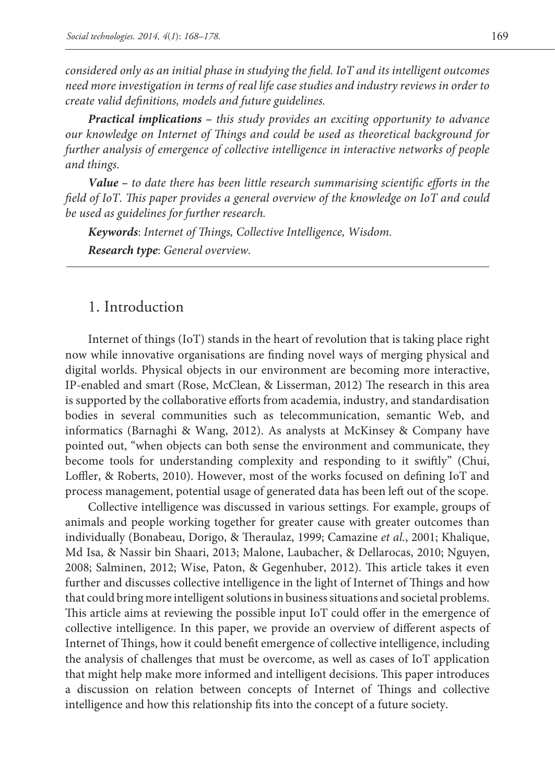*considered only as an initial phase in studying the field. IoT and its intelligent outcomes need more investigation in terms of real life case studies and industry reviews in order to create valid definitions, models and future guidelines.* 

*Practical implications* **–** *this study provides an exciting opportunity to advance our knowledge on Internet of Things and could be used as theoretical background for further analysis of emergence of collective intelligence in interactive networks of people and things.* 

*Value* **–** *to date there has been little research summarising scientific efforts in the field of IoT. This paper provides a general overview of the knowledge on IoT and could be used as guidelines for further research.*

*Keywords*: *Internet of Things, Collective Intelligence, Wisdom. Research type*: *General overview.*

### 1. Introduction

Internet of things (IoT) stands in the heart of revolution that is taking place right now while innovative organisations are finding novel ways of merging physical and digital worlds. Physical objects in our environment are becoming more interactive, IP-enabled and smart (Rose, McClean, & Lisserman, 2012) The research in this area is supported by the collaborative efforts from academia, industry, and standardisation bodies in several communities such as telecommunication, semantic Web, and informatics (Barnaghi & Wang, 2012). As analysts at McKinsey & Company have pointed out, "when objects can both sense the environment and communicate, they become tools for understanding complexity and responding to it swiftly" (Chui, Loffler, & Roberts, 2010). However, most of the works focused on defining IoT and process management, potential usage of generated data has been left out of the scope.

Collective intelligence was discussed in various settings. For example, groups of animals and people working together for greater cause with greater outcomes than individually (Bonabeau, Dorigo, & Theraulaz, 1999; Camazine *et al.*, 2001; Khalique, Md Isa, & Nassir bin Shaari, 2013; Malone, Laubacher, & Dellarocas, 2010; Nguyen, 2008; Salminen, 2012; Wise, Paton, & Gegenhuber, 2012). This article takes it even further and discusses collective intelligence in the light of Internet of Things and how that could bring more intelligent solutions in business situations and societal problems. This article aims at reviewing the possible input IoT could offer in the emergence of collective intelligence. In this paper, we provide an overview of different aspects of Internet of Things, how it could benefit emergence of collective intelligence, including the analysis of challenges that must be overcome, as well as cases of IoT application that might help make more informed and intelligent decisions. This paper introduces a discussion on relation between concepts of Internet of Things and collective intelligence and how this relationship fits into the concept of a future society.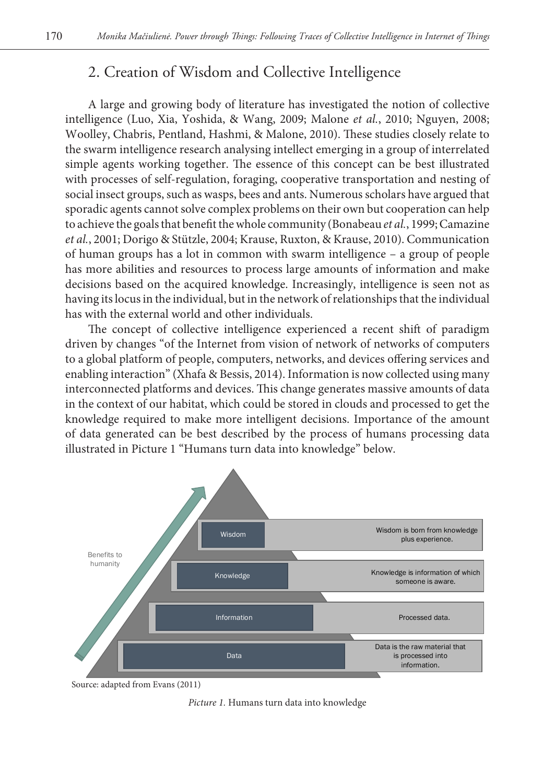## 2. Creation of Wisdom and Collective Intelligence

A large and growing body of literature has investigated the notion of collective intelligence (Luo, Xia, Yoshida, & Wang, 2009; Malone *et al.*, 2010; Nguyen, 2008; Woolley, Chabris, Pentland, Hashmi, & Malone, 2010). These studies closely relate to the swarm intelligence research analysing intellect emerging in a group of interrelated simple agents working together. The essence of this concept can be best illustrated with processes of self-regulation, foraging, cooperative transportation and nesting of social insect groups, such as wasps, bees and ants. Numerous scholars have argued that sporadic agents cannot solve complex problems on their own but cooperation can help to achieve the goals that benefit the whole community (Bonabeau *et al.*, 1999; Camazine *et al.*, 2001; Dorigo & Stützle, 2004; Krause, Ruxton, & Krause, 2010). Communication of human groups has a lot in common with swarm intelligence – a group of people has more abilities and resources to process large amounts of information and make decisions based on the acquired knowledge. Increasingly, intelligence is seen not as having its locus in the individual, but in the network of relationships that the individual has with the external world and other individuals.

The concept of collective intelligence experienced a recent shift of paradigm driven by changes "of the Internet from vision of network of networks of computers to a global platform of people, computers, networks, and devices offering services and enabling interaction" (Xhafa & Bessis, 2014). Information is now collected using many interconnected platforms and devices. This change generates massive amounts of data in the context of our habitat, which could be stored in clouds and processed to get the knowledge required to make more intelligent decisions. Importance of the amount of data generated can be best described by the process of humans processing data illustrated in Picture 1 "Humans turn data into knowledge" below.



Source: adapted from Evans (2011)

*Picture 1.* Humans turn data into knowledge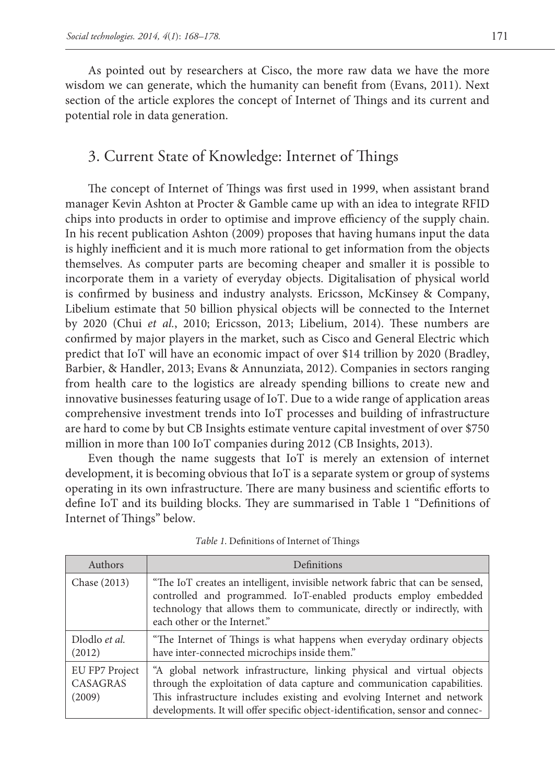As pointed out by researchers at Cisco, the more raw data we have the more wisdom we can generate, which the humanity can benefit from (Evans, 2011). Next section of the article explores the concept of Internet of Things and its current and potential role in data generation.

### 3. Current State of Knowledge: Internet of Things

The concept of Internet of Things was first used in 1999, when assistant brand manager Kevin Ashton at Procter & Gamble came up with an idea to integrate RFID chips into products in order to optimise and improve efficiency of the supply chain. In his recent publication Ashton (2009) proposes that having humans input the data is highly inefficient and it is much more rational to get information from the objects themselves. As computer parts are becoming cheaper and smaller it is possible to incorporate them in a variety of everyday objects. Digitalisation of physical world is confirmed by business and industry analysts. Ericsson, McKinsey & Company, Libelium estimate that 50 billion physical objects will be connected to the Internet by 2020 (Chui *et al.*, 2010; Ericsson, 2013; Libelium, 2014). These numbers are confirmed by major players in the market, such as Cisco and General Electric which predict that IoT will have an economic impact of over \$14 trillion by 2020 (Bradley, Barbier, & Handler, 2013; Evans & Annunziata, 2012). Companies in sectors ranging from health care to the logistics are already spending billions to create new and innovative businesses featuring usage of IoT. Due to a wide range of application areas comprehensive investment trends into IoT processes and building of infrastructure are hard to come by but CB Insights estimate venture capital investment of over \$750 million in more than 100 IoT companies during 2012 (CB Insights, 2013).

Even though the name suggests that IoT is merely an extension of internet development, it is becoming obvious that IoT is a separate system or group of systems operating in its own infrastructure. There are many business and scientific efforts to define IoT and its building blocks. They are summarised in Table 1 "Definitions of Internet of Things" below.

| Authors                                     | Definitions                                                                                                                                                                                                                                                                                                     |
|---------------------------------------------|-----------------------------------------------------------------------------------------------------------------------------------------------------------------------------------------------------------------------------------------------------------------------------------------------------------------|
| Chase (2013)                                | "The IoT creates an intelligent, invisible network fabric that can be sensed,<br>controlled and programmed. IoT-enabled products employ embedded<br>technology that allows them to communicate, directly or indirectly, with<br>each other or the Internet."                                                    |
| Dlodlo et al.<br>(2012)                     | "The Internet of Things is what happens when everyday ordinary objects<br>have inter-connected microchips inside them."                                                                                                                                                                                         |
| EU FP7 Project<br><b>CASAGRAS</b><br>(2009) | "A global network infrastructure, linking physical and virtual objects<br>through the exploitation of data capture and communication capabilities.<br>This infrastructure includes existing and evolving Internet and network<br>developments. It will offer specific object-identification, sensor and connec- |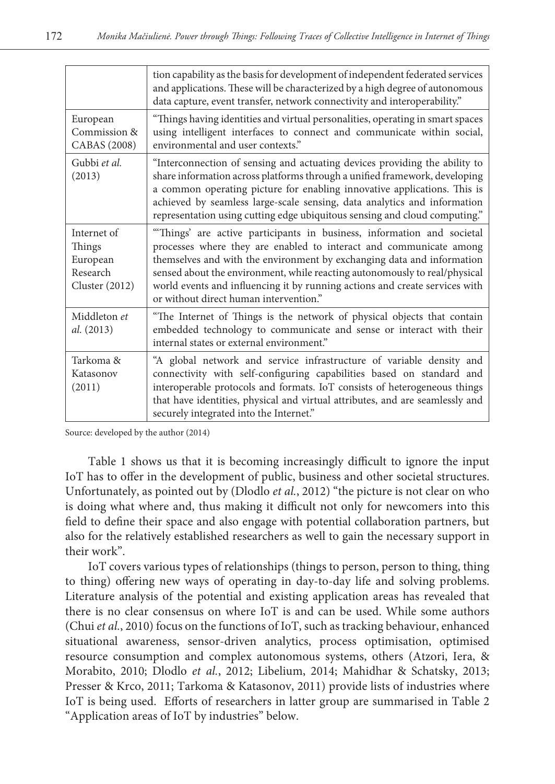|                                                                        | tion capability as the basis for development of independent federated services<br>and applications. These will be characterized by a high degree of autonomous<br>data capture, event transfer, network connectivity and interoperability."                                                                                                                                                                                   |
|------------------------------------------------------------------------|-------------------------------------------------------------------------------------------------------------------------------------------------------------------------------------------------------------------------------------------------------------------------------------------------------------------------------------------------------------------------------------------------------------------------------|
| European<br>Commission &<br>CABAS (2008)                               | "Things having identities and virtual personalities, operating in smart spaces<br>using intelligent interfaces to connect and communicate within social,<br>environmental and user contexts."                                                                                                                                                                                                                                 |
| Gubbi et al.<br>(2013)                                                 | "Interconnection of sensing and actuating devices providing the ability to<br>share information across platforms through a unified framework, developing<br>a common operating picture for enabling innovative applications. This is<br>achieved by seamless large-scale sensing, data analytics and information<br>representation using cutting edge ubiquitous sensing and cloud computing."                                |
| Internet of<br>Things<br>European<br>Research<br><b>Cluster</b> (2012) | "Things' are active participants in business, information and societal<br>processes where they are enabled to interact and communicate among<br>themselves and with the environment by exchanging data and information<br>sensed about the environment, while reacting autonomously to real/physical<br>world events and influencing it by running actions and create services with<br>or without direct human intervention." |
| Middleton et<br>al. (2013)                                             | "The Internet of Things is the network of physical objects that contain<br>embedded technology to communicate and sense or interact with their<br>internal states or external environment."                                                                                                                                                                                                                                   |
| Tarkoma &<br>Katasonov<br>(2011)                                       | "A global network and service infrastructure of variable density and<br>connectivity with self-configuring capabilities based on standard and<br>interoperable protocols and formats. IoT consists of heterogeneous things<br>that have identities, physical and virtual attributes, and are seamlessly and<br>securely integrated into the Internet."                                                                        |

Source: developed by the author (2014)

Table 1 shows us that it is becoming increasingly difficult to ignore the input IoT has to offer in the development of public, business and other societal structures. Unfortunately, as pointed out by (Dlodlo *et al.*, 2012) "the picture is not clear on who is doing what where and, thus making it difficult not only for newcomers into this field to define their space and also engage with potential collaboration partners, but also for the relatively established researchers as well to gain the necessary support in their work".

IoT covers various types of relationships (things to person, person to thing, thing to thing) offering new ways of operating in day-to-day life and solving problems. Literature analysis of the potential and existing application areas has revealed that there is no clear consensus on where IoT is and can be used. While some authors (Chui *et al.*, 2010) focus on the functions of IoT, such as tracking behaviour, enhanced situational awareness, sensor-driven analytics, process optimisation, optimised resource consumption and complex autonomous systems, others (Atzori, Iera, & Morabito, 2010; Dlodlo *et al.*, 2012; Libelium, 2014; Mahidhar & Schatsky, 2013; Presser & Krco, 2011; Tarkoma & Katasonov, 2011) provide lists of industries where IoT is being used. Efforts of researchers in latter group are summarised in Table 2 "Application areas of IoT by industries" below.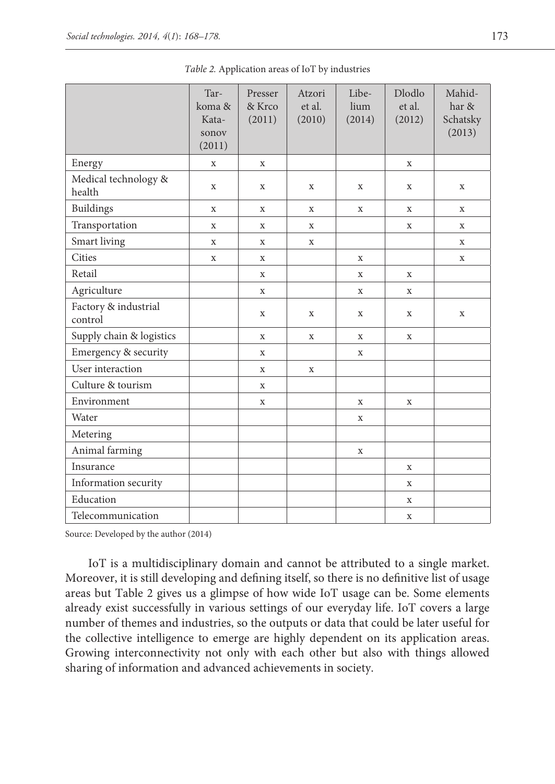|                                 | Tar-<br>koma &<br>Kata-<br>sonov<br>(2011) | Presser<br>& Krco<br>(2011) | Atzori<br>et al.<br>(2010) | Libe-<br>lium<br>(2014) | Dlodlo<br>et al.<br>(2012) | Mahid-<br>har &<br>Schatsky<br>(2013) |
|---------------------------------|--------------------------------------------|-----------------------------|----------------------------|-------------------------|----------------------------|---------------------------------------|
| Energy                          | $\mathbf X$                                | X                           |                            |                         | X                          |                                       |
| Medical technology &<br>health  | $\mathbf X$                                | X                           | X                          | X                       | X                          | X                                     |
| <b>Buildings</b>                | X                                          | X                           | $\mathbf X$                | X                       | X                          | X                                     |
| Transportation                  | $\mathbf X$                                | X                           | X                          |                         | X                          | X                                     |
| Smart living                    | X                                          | X                           | $\mathbf X$                |                         |                            | X                                     |
| Cities                          | $\mathbf X$                                | $\mathbf{x}$                |                            | $\mathbf X$             |                            | $\mathbf x$                           |
| Retail                          |                                            | X                           |                            | X                       | X                          |                                       |
| Agriculture                     |                                            | X                           |                            | X                       | X                          |                                       |
| Factory & industrial<br>control |                                            | X                           | X                          | X                       | X                          | X                                     |
| Supply chain & logistics        |                                            | $\mathbf X$                 | $\mathbf X$                | $\mathbf X$             | X                          |                                       |
| Emergency & security            |                                            | X                           |                            | X                       |                            |                                       |
| User interaction                |                                            | $\mathbf X$                 | $\mathbf X$                |                         |                            |                                       |
| Culture & tourism               |                                            | X                           |                            |                         |                            |                                       |
| Environment                     |                                            | X                           |                            | $\mathbf X$             | X                          |                                       |
| Water                           |                                            |                             |                            | X                       |                            |                                       |
| Metering                        |                                            |                             |                            |                         |                            |                                       |
| Animal farming                  |                                            |                             |                            | X                       |                            |                                       |
| Insurance                       |                                            |                             |                            |                         | $\mathbf X$                |                                       |
| Information security            |                                            |                             |                            |                         | X                          |                                       |
| Education                       |                                            |                             |                            |                         | X                          |                                       |
| Telecommunication               |                                            |                             |                            |                         | $\mathbf X$                |                                       |

*Table 2.* Application areas of IoT by industries

Source: Developed by the author (2014)

IoT is a multidisciplinary domain and cannot be attributed to a single market. Moreover, it is still developing and defining itself, so there is no definitive list of usage areas but Table 2 gives us a glimpse of how wide IoT usage can be. Some elements already exist successfully in various settings of our everyday life. IoT covers a large number of themes and industries, so the outputs or data that could be later useful for the collective intelligence to emerge are highly dependent on its application areas. Growing interconnectivity not only with each other but also with things allowed sharing of information and advanced achievements in society.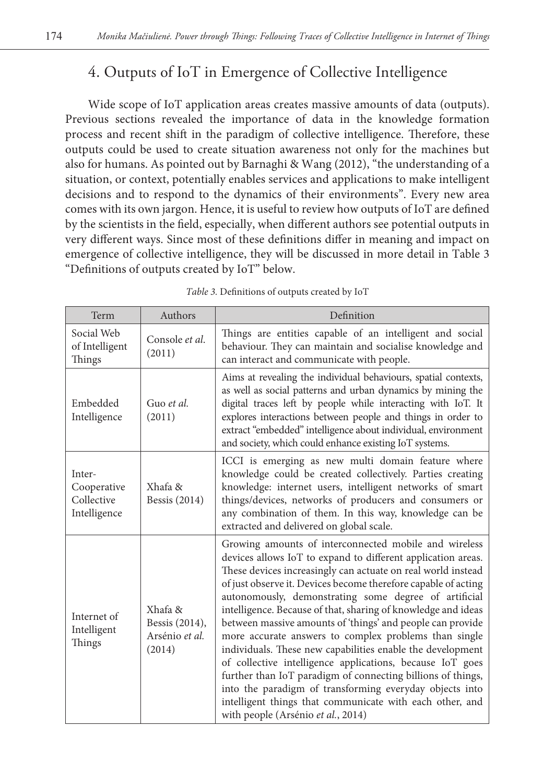# 4. Outputs of IoT in Emergence of Collective Intelligence

Wide scope of IoT application areas creates massive amounts of data (outputs). Previous sections revealed the importance of data in the knowledge formation process and recent shift in the paradigm of collective intelligence. Therefore, these outputs could be used to create situation awareness not only for the machines but also for humans. As pointed out by Barnaghi & Wang (2012), "the understanding of a situation, or context, potentially enables services and applications to make intelligent decisions and to respond to the dynamics of their environments". Every new area comes with its own jargon. Hence, it is useful to review how outputs of IoT are defined by the scientists in the field, especially, when different authors see potential outputs in very different ways. Since most of these definitions differ in meaning and impact on emergence of collective intelligence, they will be discussed in more detail in Table 3 "Definitions of outputs created by IoT" below.

| Term                                                | Authors                                               | Definition                                                                                                                                                                                                                                                                                                                                                                                                                                                                                                                                                                                                                                                                                                                                                                                                                                                      |
|-----------------------------------------------------|-------------------------------------------------------|-----------------------------------------------------------------------------------------------------------------------------------------------------------------------------------------------------------------------------------------------------------------------------------------------------------------------------------------------------------------------------------------------------------------------------------------------------------------------------------------------------------------------------------------------------------------------------------------------------------------------------------------------------------------------------------------------------------------------------------------------------------------------------------------------------------------------------------------------------------------|
| Social Web<br>of Intelligent<br>Things              | Console et al.<br>(2011)                              | Things are entities capable of an intelligent and social<br>behaviour. They can maintain and socialise knowledge and<br>can interact and communicate with people.                                                                                                                                                                                                                                                                                                                                                                                                                                                                                                                                                                                                                                                                                               |
| Embedded<br>Intelligence                            | Guo et al.<br>(2011)                                  | Aims at revealing the individual behaviours, spatial contexts,<br>as well as social patterns and urban dynamics by mining the<br>digital traces left by people while interacting with IoT. It<br>explores interactions between people and things in order to<br>extract "embedded" intelligence about individual, environment<br>and society, which could enhance existing IoT systems.                                                                                                                                                                                                                                                                                                                                                                                                                                                                         |
| Inter-<br>Cooperative<br>Collective<br>Intelligence | Xhafa &<br><b>Bessis</b> (2014)                       | ICCI is emerging as new multi domain feature where<br>knowledge could be created collectively. Parties creating<br>knowledge: internet users, intelligent networks of smart<br>things/devices, networks of producers and consumers or<br>any combination of them. In this way, knowledge can be<br>extracted and delivered on global scale.                                                                                                                                                                                                                                                                                                                                                                                                                                                                                                                     |
| Internet of<br>Intelligent<br>Things                | Xhafa &<br>Bessis (2014),<br>Arsénio et al.<br>(2014) | Growing amounts of interconnected mobile and wireless<br>devices allows IoT to expand to different application areas.<br>These devices increasingly can actuate on real world instead<br>of just observe it. Devices become therefore capable of acting<br>autonomously, demonstrating some degree of artificial<br>intelligence. Because of that, sharing of knowledge and ideas<br>between massive amounts of 'things' and people can provide<br>more accurate answers to complex problems than single<br>individuals. These new capabilities enable the development<br>of collective intelligence applications, because IoT goes<br>further than IoT paradigm of connecting billions of things,<br>into the paradigm of transforming everyday objects into<br>intelligent things that communicate with each other, and<br>with people (Arsénio et al., 2014) |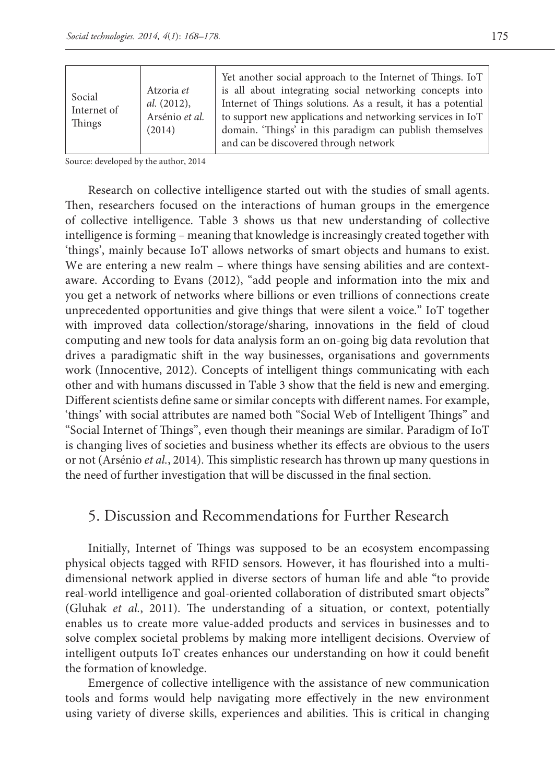Source: developed by the author, 2014

Research on collective intelligence started out with the studies of small agents. Then, researchers focused on the interactions of human groups in the emergence of collective intelligence. Table 3 shows us that new understanding of collective intelligence is forming – meaning that knowledge is increasingly created together with 'things', mainly because IoT allows networks of smart objects and humans to exist. We are entering a new realm – where things have sensing abilities and are contextaware. According to Evans (2012), "add people and information into the mix and you get a network of networks where billions or even trillions of connections create unprecedented opportunities and give things that were silent a voice." IoT together with improved data collection/storage/sharing, innovations in the field of cloud computing and new tools for data analysis form an on-going big data revolution that drives a paradigmatic shift in the way businesses, organisations and governments work (Innocentive, 2012). Concepts of intelligent things communicating with each other and with humans discussed in Table 3 show that the field is new and emerging. Different scientists define same or similar concepts with different names. For example, 'things' with social attributes are named both "Social Web of Intelligent Things" and "Social Internet of Things", even though their meanings are similar. Paradigm of IoT is changing lives of societies and business whether its effects are obvious to the users or not (Arsénio *et al.*, 2014). This simplistic research has thrown up many questions in the need of further investigation that will be discussed in the final section.

### 5. Discussion and Recommendations for Further Research

Initially, Internet of Things was supposed to be an ecosystem encompassing physical objects tagged with RFID sensors. However, it has flourished into a multidimensional network applied in diverse sectors of human life and able "to provide real-world intelligence and goal-oriented collaboration of distributed smart objects" (Gluhak *et al.*, 2011). The understanding of a situation, or context, potentially enables us to create more value-added products and services in businesses and to solve complex societal problems by making more intelligent decisions. Overview of intelligent outputs IoT creates enhances our understanding on how it could benefit the formation of knowledge.

Emergence of collective intelligence with the assistance of new communication tools and forms would help navigating more effectively in the new environment using variety of diverse skills, experiences and abilities. This is critical in changing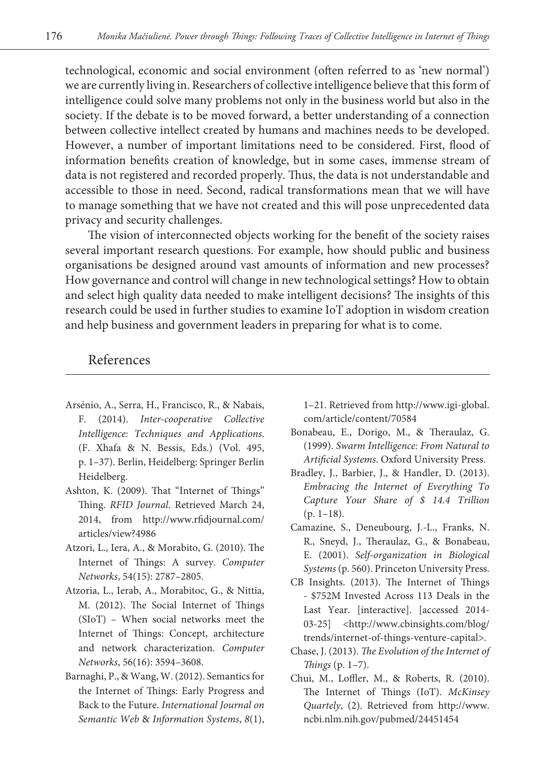technological, economic and social environment (often referred to as 'new normal') we are currently living in. Researchers of collective intelligence believe that this form of intelligence could solve many problems not only in the business world but also in the society. If the debate is to be moved forward, a better understanding of a connection between collective intellect created by humans and machines needs to be developed. However, a number of important limitations need to be considered. First, flood of information benefits creation of knowledge, but in some cases, immense stream of data is not registered and recorded properly. Thus, the data is not understandable and accessible to those in need. Second, radical transformations mean that we will have to manage something that we have not created and this will pose unprecedented data privacy and security challenges.

The vision of interconnected objects working for the benefit of the society raises several important research questions. For example, how should public and business organisations be designed around vast amounts of information and new processes? How governance and control will change in new technological settings? How to obtain and select high quality data needed to make intelligent decisions? The insights of this research could be used in further studies to examine IoT adoption in wisdom creation and help business and government leaders in preparing for what is to come.

#### References

- Arsénio, A., Serra, H., Francisco, R., & Nabais, F. (2014). *Inter-cooperative Collective Intelligence: Techniques and Applications*. (F. Xhafa & N. Bessis, Eds.) (Vol. 495, p. 1–37). Berlin, Heidelberg: Springer Berlin Heidelberg.
- Ashton, K. (2009). That "Internet of Things" Thing. *RFID Journal*. Retrieved March 24, 2014, from http://www.rfidjournal.com/ articles/view?4986
- Atzori, L., Iera, A., & Morabito, G. (2010). The Internet of Things: A survey. *Computer Networks*, 54(15): 2787–2805.
- Atzoria, L., Ierab, A., Morabitoc, G., & Nittia, M. (2012). The Social Internet of Things (SIoT) – When social networks meet the Internet of Things: Concept, architecture and network characterization. *Computer Networks*, 56(16): 3594–3608.
- Barnaghi, P., & Wang, W. (2012). Semantics for the Internet of Things: Early Progress and Back to the Future. *International Journal on Semantic Web* & *Information Systems*, *8*(1),

1–21. Retrieved from http://www.igi-global. com/article/content/70584

- Bonabeau, E., Dorigo, M., & Theraulaz, G. (1999). *Swarm Intelligence: From Natural to Artificial Systems*. Oxford University Press.
- Bradley, J., Barbier, J., & Handler, D. (2013). *Embracing the Internet of Everything To Capture Your Share of \$ 14.4 Trillion* (p. 1–18).
- Camazine, S., Deneubourg, J.-L., Franks, N. R., Sneyd, J., Theraulaz, G., & Bonabeau, E. (2001). *Self-organization in Biological Systems* (p. 560). Princeton University Press.
- CB Insights. (2013). The Internet of Things - \$752M Invested Across 113 Deals in the Last Year. [interactive]. [accessed 2014- 03-25] <http://www.cbinsights.com/blog/ trends/internet-of-things-venture-capital>.
- Chase, J. (2013). *The Evolution of the Internet of Things* (p. 1–7).
- Chui, M., Loffler, M., & Roberts, R. (2010). The Internet of Things (IoT). *McKinsey Quartely*, (2). Retrieved from http://www. ncbi.nlm.nih.gov/pubmed/24451454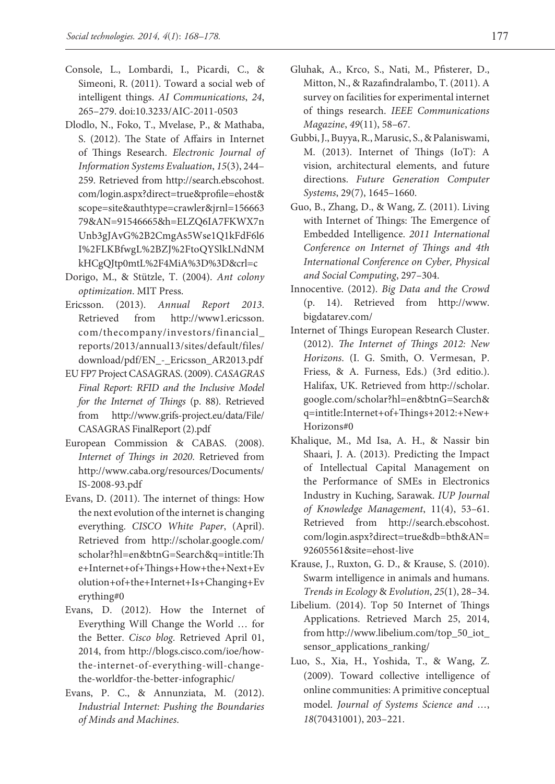- Console, L., Lombardi, I., Picardi, C., & Simeoni, R. (2011). Toward a social web of intelligent things. *AI Communications*, *24*, 265–279. doi:10.3233/AIC-2011-0503
- Dlodlo, N., Foko, T., Mvelase, P., & Mathaba, S. (2012). The State of Affairs in Internet of Things Research. *Electronic Journal of Information Systems Evaluation*, *15*(3), 244– 259. Retrieved from http://search.ebscohost. com/login.aspx?direct=true&profile=ehost& scope=site&authtype=crawler&jrnl=156663 79&AN=91546665&h=ELZQ6IA7FKWX7n Unb3gJAvG%2B2CmgAs5Wse1Q1kFdF6l6 I%2FLKBfwgL%2BZJ%2FtoQYSlkLNdNM kHCgQJtp0mtL%2F4MiA%3D%3D&crl=c
- Dorigo, M., & Stützle, T. (2004). *Ant colony optimization*. MIT Press.
- Ericsson. (2013). *Annual Report 2013*. Retrieved from http://www1.ericsson. com/thecompany/investors/financial\_ reports/2013/annual13/sites/default/files/ download/pdf/EN\_-\_Ericsson\_AR2013.pdf
- EU FP7 Project CASAGRAS. (2009). *CASAGRAS Final Report: RFID and the Inclusive Model for the Internet of Things* (p. 88). Retrieved from http://www.grifs-project.eu/data/File/ CASAGRAS FinalReport (2).pdf
- European Commission & CABAS. (2008). *Internet of Things in 2020*. Retrieved from http://www.caba.org/resources/Documents/ IS-2008-93.pdf
- Evans, D. (2011). The internet of things: How the next evolution of the internet is changing everything. *CISCO White Paper*, (April). Retrieved from http://scholar.google.com/ scholar?hl=en&btnG=Search&q=intitle:Th e+Internet+of+Things+How+the+Next+Ev olution+of+the+Internet+Is+Changing+Ev erything#0
- Evans, D. (2012). How the Internet of Everything Will Change the World … for the Better. *Cisco blog*. Retrieved April 01, 2014, from http://blogs.cisco.com/ioe/howthe-internet-of-everything-will-changethe-worldfor-the-better-infographic/
- Evans, P. C., & Annunziata, M. (2012). *Industrial Internet: Pushing the Boundaries of Minds and Machines*.
- Gluhak, A., Krco, S., Nati, M., Pfisterer, D., Mitton, N., & Razafindralambo, T. (2011). A survey on facilities for experimental internet of things research. *IEEE Communications Magazine*, *49*(11), 58–67.
- Gubbi, J., Buyya, R., Marusic, S., & Palaniswami, M. (2013). Internet of Things (IoT): A vision, architectural elements, and future directions. *Future Generation Computer Systems*, 29(7), 1645–1660.
- Guo, B., Zhang, D., & Wang, Z. (2011). Living with Internet of Things: The Emergence of Embedded Intelligence. *2011 International Conference on Internet of Things and 4th International Conference on Cyber, Physical and Social Computing*, 297–304.
- Innocentive. (2012). *Big Data and the Crowd* (p. 14). Retrieved from http://www. bigdatarev.com/
- Internet of Things European Research Cluster. (2012). *The Internet of Things 2012: New Horizons*. (I. G. Smith, O. Vermesan, P. Friess, & A. Furness, Eds.) (3rd editio.). Halifax, UK. Retrieved from http://scholar. google.com/scholar?hl=en&btnG=Search& q=intitle:Internet+of+Things+2012:+New+ Horizons#0
- Khalique, M., Md Isa, A. H., & Nassir bin Shaari, J. A. (2013). Predicting the Impact of Intellectual Capital Management on the Performance of SMEs in Electronics Industry in Kuching, Sarawak. *IUP Journal of Knowledge Management*, 11(4), 53–61. Retrieved from http://search.ebscohost. com/login.aspx?direct=true&db=bth&AN= 92605561&site=ehost-live
- Krause, J., Ruxton, G. D., & Krause, S. (2010). Swarm intelligence in animals and humans. *Trends in Ecology* & *Evolution*, *25*(1), 28–34.
- Libelium. (2014). Top 50 Internet of Things Applications. Retrieved March 25, 2014, from http://www.libelium.com/top\_50\_iot\_ sensor\_applications\_ranking/
- Luo, S., Xia, H., Yoshida, T., & Wang, Z. (2009). Toward collective intelligence of online communities: A primitive conceptual model. *Journal of Systems Science and …*, *18*(70431001), 203–221.